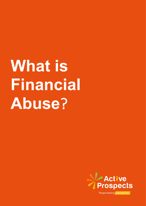## **What is Financial Abuse**?

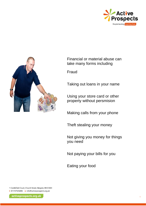



Financial or material abuse can take many forms including

Fraud

Taking out loans in your name

Using your store card or other property without persmision

Making calls from your phone

Theft stealing your money

Not giving you money for things you need

Not paying your bills for you

Eating your food

1 Castlefield Court, Church Street, Reigate, RH2 0AH t 01737924084 e info@activeprospects.org.uk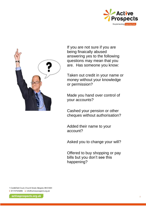



If you are not sure if you are being finaically abused answering yes to the following questions may mean that you are. Has someone you know:

Taken out credit in your name or money without your knowledge or permission?

Made you hand over control of your accounts?

Cashed your pension or other cheques without authorisation?

Added their name to your account?

Asked you to change your will?

Offered to buy shopping or pay bills but you don't see this happening?

1 Castlefield Court, Church Street, Reigate, RH2 OAH t 01737924084 e info@activeprospects.org.uk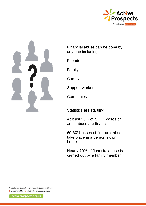



Financial abuse can be done by any one including;

Friends

Family

Carers

Support workers

**Companies** 

Statistics are startling:

At least 20% of all UK cases of adult abuse are financial

60-80% cases of financial abuse take place in a person's own home

Nearly 70% of financial abuse is carried out by a family member

1 Castlefield Court, Church Street, Reigate, RH2 0AH t 01737924084 e info@activeprospects.org.uk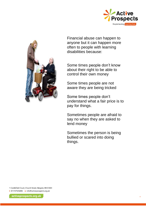



Financial abuse can happen to anyone but it can happen more often to people with learning disabilities because:

Some times people don't know about their right to be able to control their own money

Some times people are not aware they are being tricked

Some times people don't understand what a fair price is to pay for things.

Sometimes people are afraid to say no when they are asked to lend money

Sometimes the person is being bullied or scared into doing things.

1 Castlefield Court, Church Street, Reigate, RH2 OAH t 01737924084 e info@activeprospects.org.uk

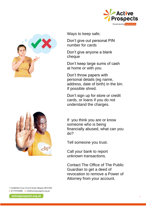



Ways to keep safe;

Don't give out personal PIN number for cards

Don't give anyone a blank cheque

Don't keep large sums of cash at home or with you.

Don't throw papers with personal details (eg name, address, date of birth) in the bin. If possible shred.

Don't sign up for store or credit cards, or loans if you do not understand the charges.

If you think you are or know someone who is being financially abused, what can you do?

Tell someone you trust.

Call your bank to report unknown transactions.

Contact The Office of The Public Guardian to get a deed of revocation to remove a Power of Attorney from your account.

1 Castlefield Court, Church Street, Reigate, RH2 OAH t 01737924084 e info@activeprospects.org.uk